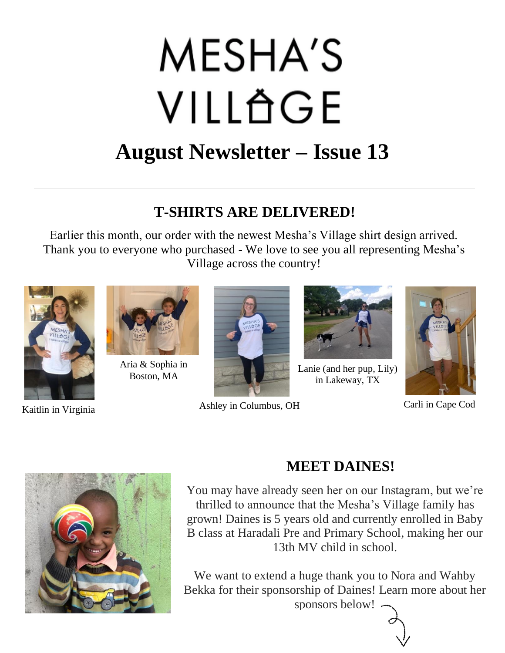# **MESHA'S** VILLÄGE **August Newsletter – Issue 13**

### **T-SHIRTS ARE DELIVERED!**

Earlier this month, our order with the newest Mesha's Village shirt design arrived. Thank you to everyone who purchased - We love to see you all representing Mesha's Village across the country!



Kaitlin in Virginia



Aria & Sophia in Boston, MA



Ashley in Columbus, OH



Lanie (and her pup, Lily) in Lakeway, TX



Carli in Cape Cod



# **MEET DAINES!**

You may have already seen her on our Instagram, but we're thrilled to announce that the Mesha's Village family has grown! Daines is 5 years old and currently enrolled in Baby B class at Haradali Pre and Primary School, making her our 13th MV child in school.

We want to extend a huge thank you to Nora and Wahby Bekka for their sponsorship of Daines! Learn more about her sponsors below!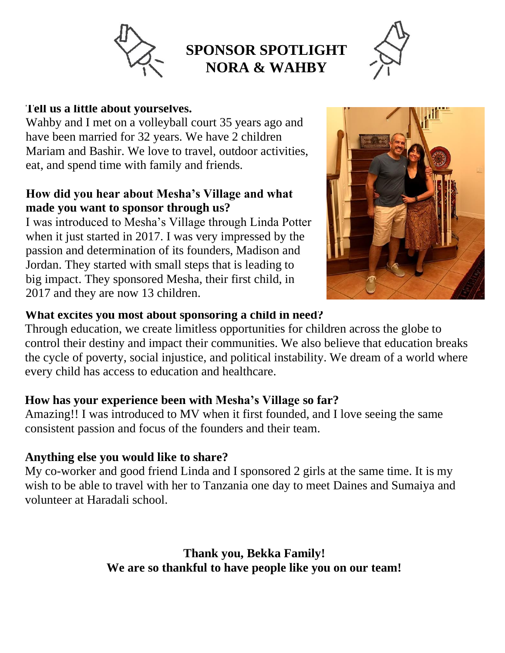

# **SPONSOR SPOTLIGHT NORA & WAHBY**



#### **Tell us a little about yourselves.**

Wahby and I met on a volleyball court 35 years ago and have been married for 32 years. We have 2 children Mariam and Bashir. We love to travel, outdoor activities, eat, and spend time with family and friends.

#### **How did you hear about Mesha's Village and what made you want to sponsor through us?**

I was introduced to Mesha's Village through Linda Potter when it just started in 2017. I was very impressed by the passion and determination of its founders, Madison and Jordan. They started with small steps that is leading to big impact. They sponsored Mesha, their first child, in 2017 and they are now 13 children.



#### **What excites you most about sponsoring a child in need?**

Through education, we create limitless opportunities for children across the globe to control their destiny and impact their communities. We also believe that education breaks the cycle of poverty, social injustice, and political instability. We dream of a world where every child has access to education and healthcare.

#### **How has your experience been with Mesha's Village so far?**

Amazing!! I was introduced to MV when it first founded, and I love seeing the same consistent passion and focus of the founders and their team.

#### **Anything else you would like to share?**

My co-worker and good friend Linda and I sponsored 2 girls at the same time. It is my wish to be able to travel with her to Tanzania one day to meet Daines and Sumaiya and volunteer at Haradali school.

> **Thank you, Bekka Family! We are so thankful to have people like you on our team!**